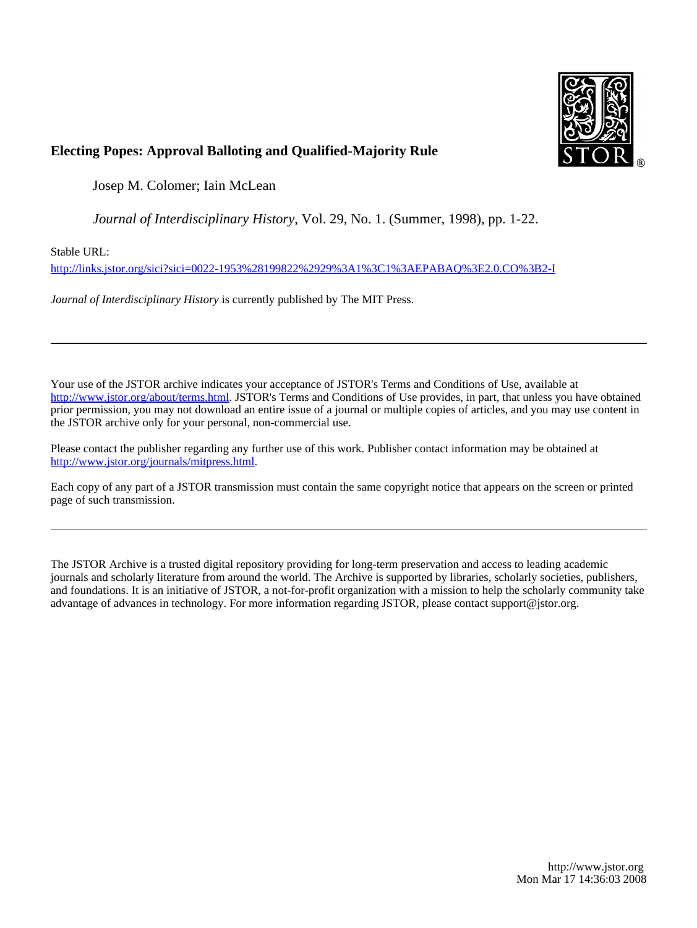

## **Electing Popes: Approval Balloting and Qualified-Majority Rule**

Josep M. Colomer; Iain McLean

*Journal of Interdisciplinary History*, Vol. 29, No. 1. (Summer, 1998), pp. 1-22.

Stable URL:

<http://links.jstor.org/sici?sici=0022-1953%28199822%2929%3A1%3C1%3AEPABAQ%3E2.0.CO%3B2-I>

*Journal of Interdisciplinary History* is currently published by The MIT Press.

Your use of the JSTOR archive indicates your acceptance of JSTOR's Terms and Conditions of Use, available at [http://www.jstor.org/about/terms.html.](http://www.jstor.org/about/terms.html) JSTOR's Terms and Conditions of Use provides, in part, that unless you have obtained prior permission, you may not download an entire issue of a journal or multiple copies of articles, and you may use content in the JSTOR archive only for your personal, non-commercial use.

Please contact the publisher regarding any further use of this work. Publisher contact information may be obtained at <http://www.jstor.org/journals/mitpress.html>.

Each copy of any part of a JSTOR transmission must contain the same copyright notice that appears on the screen or printed page of such transmission.

The JSTOR Archive is a trusted digital repository providing for long-term preservation and access to leading academic journals and scholarly literature from around the world. The Archive is supported by libraries, scholarly societies, publishers, and foundations. It is an initiative of JSTOR, a not-for-profit organization with a mission to help the scholarly community take advantage of advances in technology. For more information regarding JSTOR, please contact support@jstor.org.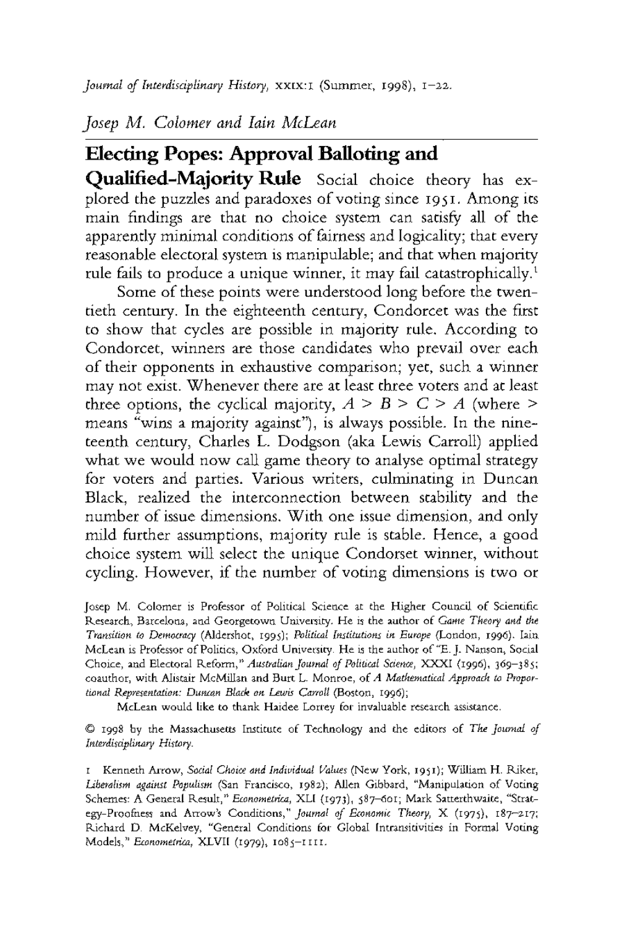## Josep M. Colomer and Iain McLean

# **Electing Popes: Approval Balloting and**

Qualified-Majority Rule Social choice theory has explored the puzzles and paradoxes of voting since 1951. Among its main findings are that no choice system can satisfy all of the apparently minimal conditions of fairness and logicality; that every reasonable electoral system is manipulable; and that when majority rule fails to produce a unique winner, it may fail catastrophically.<sup>1</sup>

Some of these points were understood long before the twentieth century. In the eighteenth century, Condorcet was the first to show that cycles are possible in majority rule. According to Condorcet, winners are those candidates who prevail over each of their opponents in exhaustive comparison; yet, such a winner may not exist. Whenever there are at least three voters and at least three options, the cyclical majority,  $A > B > C > A$  (where > means "wins a majority against"), is always possible. In the nineteenth century, Charles L. Dodgson (aka Lewis Carroll) applied what we would now call game theory to analyse optimal strategy for voters and parties. Various writers, culminating in Duncan Black, realized the interconnection between stability and the number of issue dimensions. With one issue dimension, and only mild further assumptions, majority rule is stable. Hence, a good choice system will select the unique Condorset winner, without cycling. However, if the number of voting dimensions is two or

McLean would like to thank Haidee Lorrey for invaluable research assistance.

C 1998 by the Massachusetts Institute of Technology and the editors of The Journal of Interdisciplinary History.

Josep M. Colomer is Professor of Political Science at the Higher Council of Scientific Research, Barcelona, and Georgetown University. He is the author of Game Theory and the Transition to Democracy (Aldershot, 1995); Political Institutions in Europe (London, 1996). Iain McLean is Professor of Politics, Oxford University. He is the author of "E. J. Nanson, Social Choice, and Electoral Reform," Australian Journal of Political Science, XXXI (1996), 369-385; coauthor, with Alistair McMillan and Burt L. Monroe, of A Mathematical Approach to Proportional Representation: Duncan Black on Lewis Carroll (Boston, 1996);

I Kenneth Arrow, Social Choice and Individual Values (New York, 1951); William H. Riker, Liberalism against Populism (San Francisco, 1982); Allen Gibbard, "Manipulation of Voting Schemes: A General Result," Econometrica, XLI (1973), 587-601; Mark Satterthwaite, "Strategy-Proofness and Arrow's Conditions," Journal of Economic Theory, X (1975), 187-217; Richard D. McKelvey, "General Conditions for Global Intransitivities in Formal Voting Models," Econometrica, XLVII (1979), 1085-1111.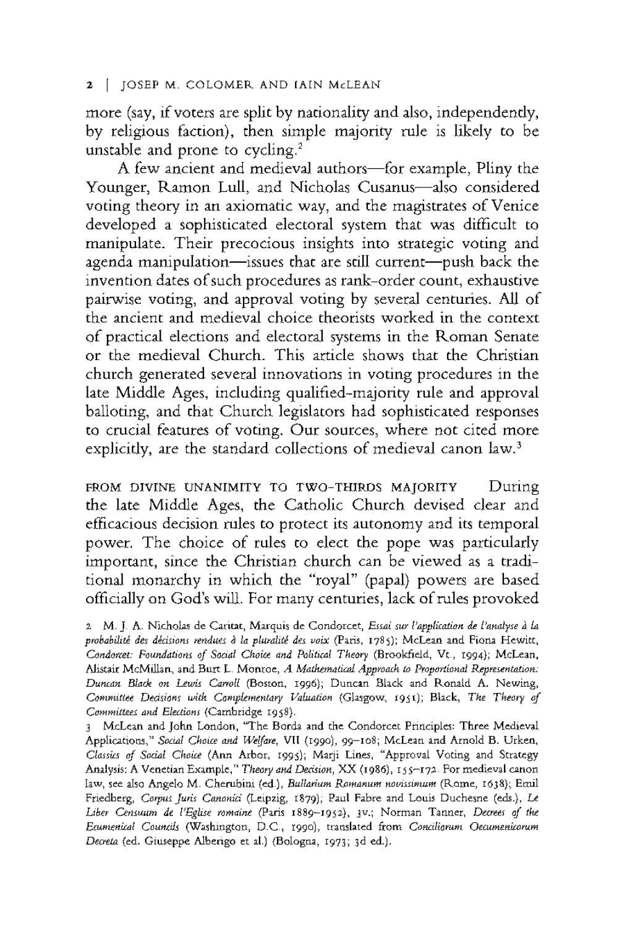more (say, if voters are split by nationality and also, independently, by religious faction), then simple majority rule is likely to be unstable and prone to cycling.<sup>2</sup>

A few ancient and medieval authors-for example, Pliny the Younger, Ramon Lull, and Nicholas Cusanus-also considered voting theory in an axiomatic way, and the magistrates of Venice developed a sophisticated electoral system that was difficult to manipulate. Their precocious insights into strategic voting and agenda manipulation-issues that are still current-push back the invention dates of such procedures as rank-order count, exhaustive pairwise voting, and approval voting by several centuries. All of the ancient and medieval choice theorists worked in the context of practical elections and electoral systems in the Roman Senate or the medieval Church. This article shows that the Christian church generated several innovations in voting procedures in the late Middle Ages, including qualified-majority rule and approval balloting, and that Church legislators had sophisticated responses to crucial features of voting. Our sources, where not cited more explicitly, are the standard collections of medieval canon law.<sup>3</sup>

FROM DIVINE UNANIMITY TO TWO-THIRDS MAJORITY During the late Middle Ages, the Catholic Church devised clear and efficacious decision rules to protect its autonomy and its temporal power. The choice of rules to elect the pope was particularly important, since the Christian church can be viewed as a traditional monarchy in which the "royal" (papal) powers are based officially on God's will. For many centuries, lack of rules provoked

<sup>2</sup> M. J. A. Nicholas de Caritat, Marquis de Condorcet, Essai sur l'application de l'analyse à la probabilité des décisions rendues à la pluralité des voix (Paris, 1785); McLean and Fiona Hewitt, Condonet: Foundations of Social Choice and Political Theory (Brookfield, Vt., 1994); McLean, Alistair McMillan, and Burt L. Monroe, A Mathematical Approach to Proportional Representation: Duncan Black on Lewis Carroll (Boston, 1996); Duncan Black and Ronald A. Newing, Committee Decisions with Complementary Valuation (Glasgow, 1951); Black, The Theory of Committees and Elections (Cambridge 1958).

<sup>3</sup> McLean and John London, "The Borda and the Condorcet Principles: Three Medieval Applications," Social Choice and Welfare, VII (1990), 99-108; McLean and Arnold B. Urken, Classies of Social Choice (Ann Arbor, 1995); Marji Lines, "Approval Voting and Strategy Analysis: A Venetian Example," Theory and Decision, XX (1986), 155-172. For medieval canon Iaw, see also Angelo M. Cherubini (ed.), Bullarium Romanum novissimum (Rome, 1638); Emil Friedberg, Corpus Juris Canonici (Leipzig, 1879); Paul Fabre and Louis Duchesne (eds.), Le Liber Censuum de l'Eglise romaine (Paris 1889-1952), 3v.; Norman Tanner, Decrees of the Ecumenical Councils (Washington, D.C., 1990), translated from Conciliorum Oecumenicorum Decreta (ed. Giuseppe Alberigo et al.) (Bologna, 1973; 3d ed.).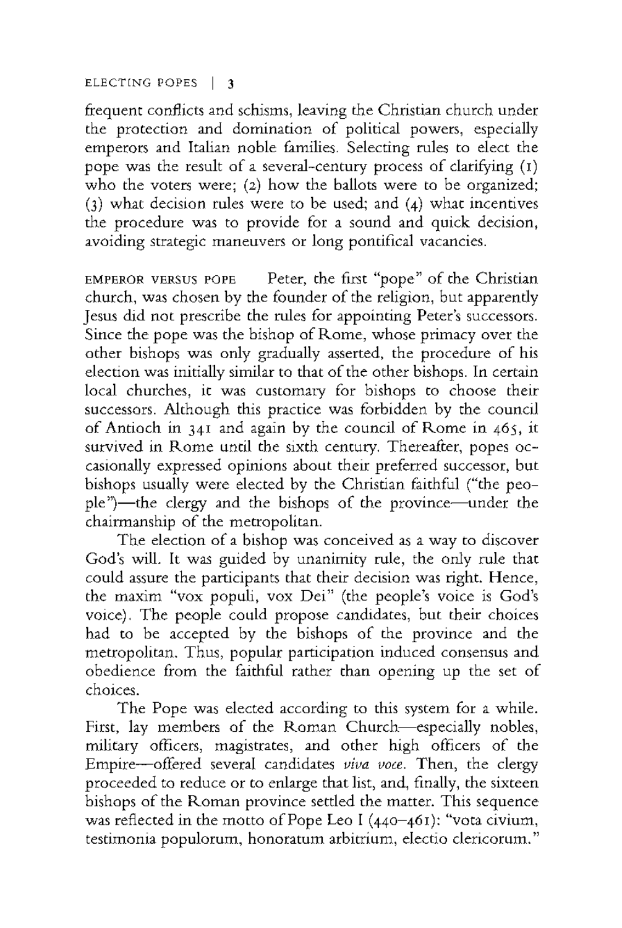## ELECTING POPES | 3

frequent conflicts and schisms, leaving the Christian church under the protection and domination of political powers, especially emperors and Italian noble families. Selecting rules to elect the pope was the result of a several-century process of clarifying (1) who the voters were; (2) how the ballots were to be organized; (3) what decision rules were to be used; and  $(4)$  what incentives the procedure was to provide for a sound and quick decision, avoiding strategic maneuvers or long pontifical vacancies.

Peter, the first "pope" of the Christian **EMPEROR VERSUS POPE** church, was chosen by the founder of the religion, but apparently Jesus did not prescribe the rules for appointing Peter's successors. Since the pope was the bishop of Rome, whose primacy over the other bishops was only gradually asserted, the procedure of his election was initially similar to that of the other bishops. In certain local churches, it was customary for bishops to choose their successors. Although this practice was forbidden by the council of Antioch in 341 and again by the council of Rome in 465, it survived in Rome until the sixth century. Thereafter, popes occasionally expressed opinions about their preferred successor, but bishops usually were elected by the Christian faithful ("the people")—the clergy and the bishops of the province—under the chairmanship of the metropolitan.

The election of a bishop was conceived as a way to discover God's will. It was guided by unanimity rule, the only rule that could assure the participants that their decision was right. Hence, the maxim "vox populi, vox Dei" (the people's voice is God's voice). The people could propose candidates, but their choices had to be accepted by the bishops of the province and the metropolitan. Thus, popular participation induced consensus and obedience from the faithful rather than opening up the set of choices.

The Pope was elected according to this system for a while. First, lay members of the Roman Church-especially nobles, military officers, magistrates, and other high officers of the Empire-offered several candidates viva voce. Then, the clergy proceeded to reduce or to enlarge that list, and, finally, the sixteen bishops of the Roman province settled the matter. This sequence was reflected in the motto of Pope Leo I  $(440-461)$ : "vota civium, testimonia populorum, honoratum arbitrium, electio clericorum."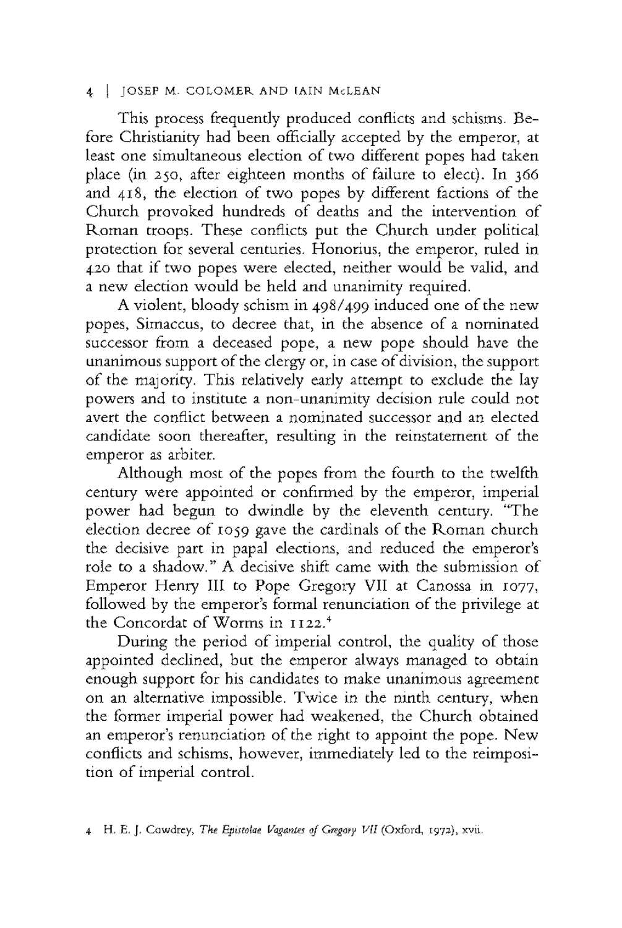This process frequently produced conflicts and schisms. Before Christianity had been officially accepted by the emperor, at least one simultaneous election of two different popes had taken place (in 250, after eighteen months of failure to elect). In 366 and 418, the election of two popes by different factions of the Church provoked hundreds of deaths and the intervention of Roman troops. These conflicts put the Church under political protection for several centuries. Honorius, the emperor, ruled in 420 that if two popes were elected, neither would be valid, and a new election would be held and unanimity required.

A violent, bloody schism in 498/499 induced one of the new popes, Simaccus, to decree that, in the absence of a nominated successor from a deceased pope, a new pope should have the unanimous support of the clergy or, in case of division, the support of the majority. This relatively early attempt to exclude the lay powers and to institute a non-unanimity decision rule could not avert the conflict between a nominated successor and an elected candidate soon thereafter, resulting in the reinstatement of the emperor as arbiter.

Although most of the popes from the fourth to the twelfth century were appointed or confirmed by the emperor, imperial power had begun to dwindle by the eleventh century. "The election decree of 1059 gave the cardinals of the Roman church the decisive part in papal elections, and reduced the emperor's role to a shadow." A decisive shift came with the submission of Emperor Henry III to Pope Gregory VII at Canossa in 1077, followed by the emperor's formal renunciation of the privilege at the Concordat of Worms in 1122.<sup>4</sup>

During the period of imperial control, the quality of those appointed declined, but the emperor always managed to obtain enough support for his candidates to make unanimous agreement on an alternative impossible. Twice in the ninth century, when the former imperial power had weakened, the Church obtained an emperor's renunciation of the right to appoint the pope. New conflicts and schisms, however, immediately led to the reimposition of imperial control.

4 H. E. J. Cowdrey, The Epistolae Vagantes of Gregory VII (Oxford, 1972), xvii.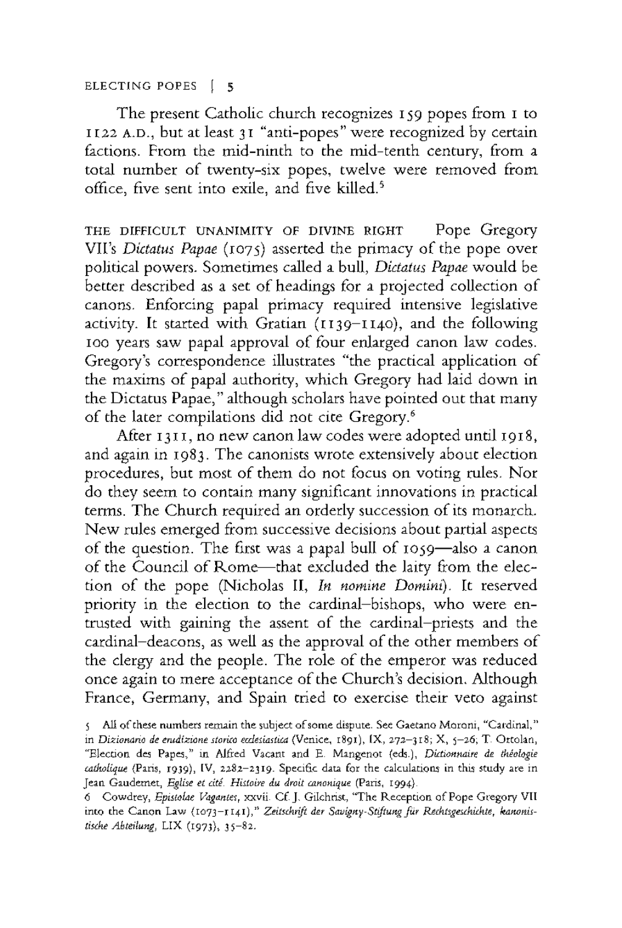## ELECTING POPES | 5

The present Catholic church recognizes 159 popes from I to 1122 A.D., but at least 31 "anti-popes" were recognized by certain factions. From the mid-ninth to the mid-tenth century, from a total number of twenty-six popes, twelve were removed from office, five sent into exile, and five killed.<sup>5</sup>

Pope Gregory THE DIFFICULT UNANIMITY OF DIVINE RIGHT VII's Dictatus Papae (1075) asserted the primacy of the pope over political powers. Sometimes called a bull, *Dictatus Papae* would be better described as a set of headings for a projected collection of canons. Enforcing papal primacy required intensive legislative activity. It started with Gratian (1139-1140), and the following 100 years saw papal approval of four enlarged canon law codes. Gregory's correspondence illustrates "the practical application of the maxims of papal authority, which Gregory had laid down in the Dictatus Papae," although scholars have pointed out that many of the later compilations did not cite Gregory.<sup>6</sup>

After 1311, no new canon law codes were adopted until 1918, and again in 1983. The canonists wrote extensively about election procedures, but most of them do not focus on voting rules. Nor do they seem to contain many significant innovations in practical terms. The Church required an orderly succession of its monarch. New rules emerged from successive decisions about partial aspects of the question. The first was a papal bull of 1059-also a canon of the Council of Rome-that excluded the laity from the election of the pope (Nicholas II, In nomine Domini). It reserved priority in the election to the cardinal-bishops, who were entrusted with gaining the assent of the cardinal-priests and the cardinal-deacons, as well as the approval of the other members of the clergy and the people. The role of the emperor was reduced once again to mere acceptance of the Church's decision. Although France, Germany, and Spain tried to exercise their veto against

<sup>5</sup> All of these numbers remain the subject of some dispute. See Gaetano Moroni, "Cardinal," in Dizionario de enudizione storico ecclesiastica (Venice, 1891), IX, 272-318; X, 5-26; T. Ottolan, "Election des Papes," in Alfred Vacant and E. Mangenot (eds.), Dictionnaire de théologie catholique (Paris, 1939), IV, 2282-2319. Specific data for the calculations in this study are in Jean Gaudemet, Eglise et cité. Histoire du droit canonique (Paris, 1994).

<sup>6</sup> Cowdrey, Epistolae Vagantes, xxvii. Cf. J. Gilchrist, "The Reception of Pope Gregory VII into the Canon Law (1073-1141)," Zeitschrift der Savigny-Stiftung für Rechtsgeschichte, kanonistische Abteilung, LIX (1973), 35-82.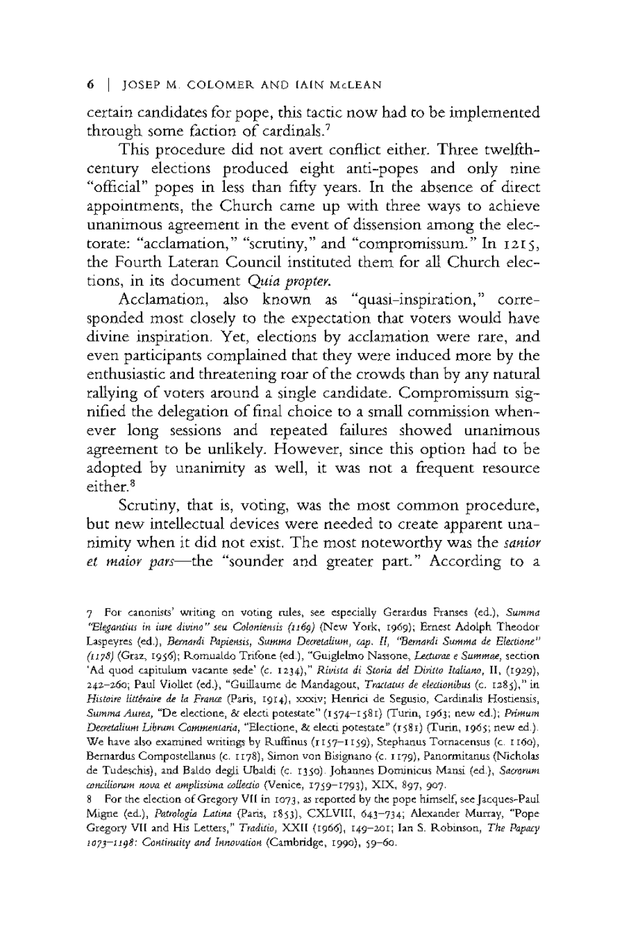certain candidates for pope, this tactic now had to be implemented through some faction of cardinals.<sup>7</sup>

This procedure did not avert conflict either. Three twelfthcentury elections produced eight anti-popes and only nine "official" popes in less than fifty years. In the absence of direct appointments, the Church came up with three ways to achieve unanimous agreement in the event of dissension among the electorate: "acclamation," "scrutiny," and "compromissum." In  $1215$ , the Fourth Lateran Council instituted them for all Church elections, in its document Quia propter.

Acclamation, also known as "quasi-inspiration," corresponded most closely to the expectation that voters would have divine inspiration. Yet, elections by acclamation were rare, and even participants complained that they were induced more by the enthusiastic and threatening roar of the crowds than by any natural rallying of voters around a single candidate. Compromissum signified the delegation of final choice to a small commission whenever long sessions and repeated failures showed unanimous agreement to be unlikely. However, since this option had to be adopted by unanimity as well, it was not a frequent resource either.<sup>8</sup>

Scrutiny, that is, voting, was the most common procedure, but new intellectual devices were needed to create apparent unanimity when it did not exist. The most noteworthy was the sanior et maior pars-the "sounder and greater part." According to a

<sup>7</sup> For canonists' writing on voting rules, see especially Gerardus Franses (ed.), Summa "Elegantius in iure divino" seu Coloniensis (1169) (New York, 1969); Ernest Adolph Theodor Laspeyres (ed.), Bernardi Papiensis, Summa Decretalium, cap. II, "Bernardi Summa de Electione" (1178) (Graz, 1956); Romualdo Trifone (ed.), "Guiglelmo Nassone, Lecturae e Summae, section 'Ad quod capitulum vacante sede' (c. 1234)," Rivista di Storia del Diritto Italiano, II, (1929), 242-260; Paul Viollet (ed.), "Guillaume de Mandagout, Tractatus de electionibus (c. 1285)," in Histoire littéraire de la France (Paris, 1914), xxxiv; Henrici de Segusio, Cardinalis Hostiensis, Summa Aurea, "De electione, & electi potestate" (1574-1581) (Turin, 1963; new ed.); Primum Decretalium Librum Commentaria, "Electione, & electi potestate" (1581) (Turin, 1965; new ed.). We have also examined writings by Ruffinus (1157-1159), Stephanus Tornacensus (c. 1160), Bernardus Compostellanus (c. 1178), Simon von Bisignano (c. 1179), Panormitanus (Nicholas de Tudeschis), and Baldo degli Ubaldi (c. 1350). Johannes Dominicus Mansi (ed.), Sacrorum conciliorum nova et amplissima collectio (Venice, 1759-1793), XIX, 897, 907.

<sup>8</sup> For the election of Gregory VII in 1073, as reported by the pope himself, see Jacques-Paul Migne (ed.), Patrologia Latina (Paris, 1853), CXLVIII, 643-734; Alexander Murray, "Pope Gregory VII and His Letters," Traditio, XXII (1966), 149-201; Ian S. Robinson, The Papacy 1073-1198: Continuity and Innovation (Cambridge, 1990), 59-60.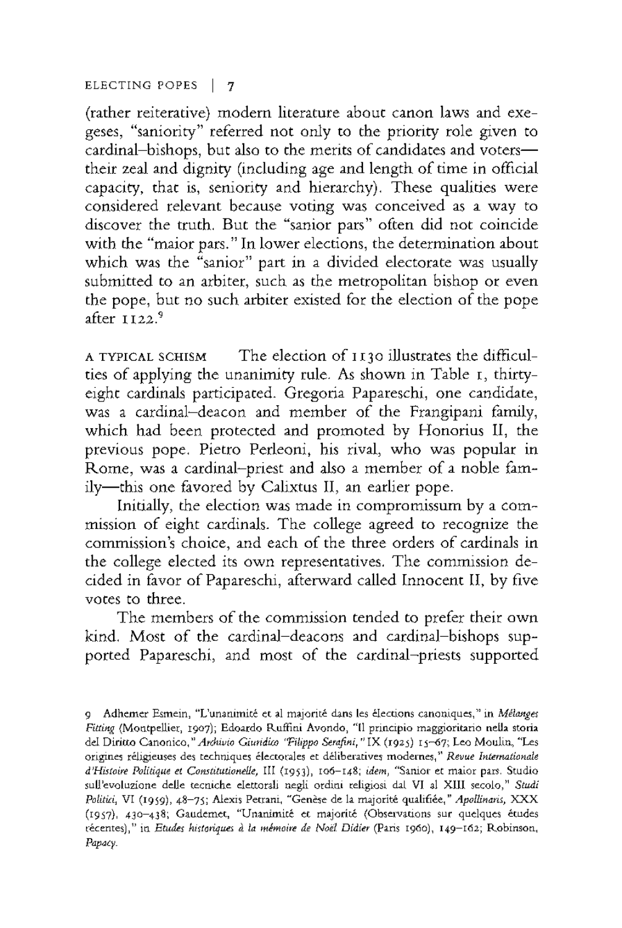(rather reiterative) modern literature about canon laws and exegeses, "saniority" referred not only to the priority role given to cardinal-bishops, but also to the merits of candidates and voterstheir zeal and dignity (including age and length of time in official capacity, that is, seniority and hierarchy). These qualities were considered relevant because voting was conceived as a way to discover the truth. But the "sanior pars" often did not coincide with the "maior pars." In lower elections, the determination about which was the "sanior" part in a divided electorate was usually submitted to an arbiter, such as the metropolitan bishop or even the pope, but no such arbiter existed for the election of the pope after  $1122.<sup>9</sup>$ 

The election of 1130 illustrates the difficul-A TYPICAL SCHISM ties of applying the unanimity rule. As shown in Table 1, thirtyeight cardinals participated. Gregoria Papareschi, one candidate, was a cardinal-deacon and member of the Frangipani family, which had been protected and promoted by Honorius II, the previous pope. Pietro Perleoni, his rival, who was popular in Rome, was a cardinal-priest and also a member of a noble family-this one favored by Calixtus II, an earlier pope.

Initially, the election was made in compromissum by a commission of eight cardinals. The college agreed to recognize the commission's choice, and each of the three orders of cardinals in the college elected its own representatives. The commission decided in favor of Papareschi, afterward called Innocent II, by five votes to three.

The members of the commission tended to prefer their own kind. Most of the cardinal-deacons and cardinal-bishops supported Papareschi, and most of the cardinal-priests supported

<sup>9</sup> Adhemer Esmein, "L'unanimité et al majorité dans les élections canoniques," in Mélanges Fitting (Montpellier, 1907); Edoardo Ruffini Avondo, "Il principio maggioritario nella storia del Diritto Canonico," Archivio Giuridico "Filippo Serafini," IX (1925) 15-67; Leo Moulin, "Les origines réligieuses des techniques électorales et déliberatives modernes," Revue Internationale d'Histoire Politique et Constitutionelle, III (1953), 106-148; idem, "Sanior et maior pars. Studio sull'evoluzione delle tecniche elettorali negli ordini religiosi dal VI al XIII secolo," Studi Politici, VI (1959), 48-75; Alexis Petrani, "Genèse de la majorité qualifiée," Apollinaris, XXX (1957), 430-438; Gaudemet, "Unanimité et majorité (Observations sur quelques études récentes)," in Etudes historiques à la mémoire de Noël Didier (Paris 1960), 149-162; Robinson, Papacy.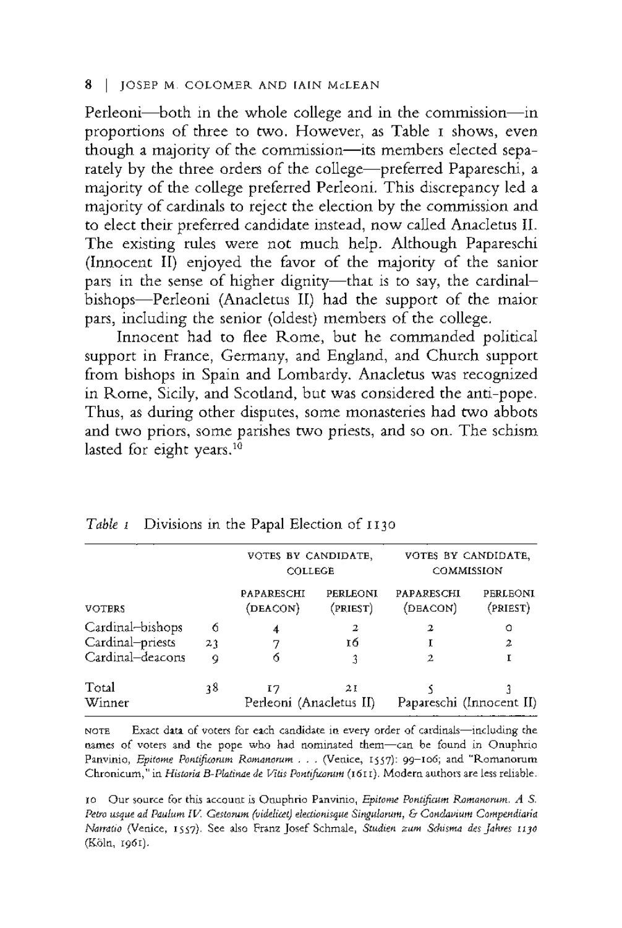Perleoni—both in the whole college and in the commission—in proportions of three to two. However, as Table I shows, even though a majority of the commission-its members elected separately by the three orders of the college—preferred Papareschi, a majority of the college preferred Perleoni. This discrepancy led a majority of cardinals to reject the election by the commission and to elect their preferred candidate instead, now called Anacletus II. The existing rules were not much help. Although Papareschi (Innocent II) enjoyed the favor of the majority of the sanior pars in the sense of higher dignity-that is to say, the cardinalbishops-Perleoni (Anacletus II) had the support of the maior pars, including the senior (oldest) members of the college.

Innocent had to flee Rome, but he commanded political support in France, Germany, and England, and Church support from bishops in Spain and Lombardy. Anacletus was recognized in Rome, Sicily, and Scotland, but was considered the anti-pope. Thus, as during other disputes, some monasteries had two abbots and two priors, some parishes two priests, and so on. The schism lasted for eight years.<sup>10</sup>

|                  |    | VOTES BY CANDIDATE,<br>COLLEGE |                      | VOTES BY CANDIDATE,<br>COMMISSION |                      |  |
|------------------|----|--------------------------------|----------------------|-----------------------------------|----------------------|--|
| <b>VOTERS</b>    |    | PAPARESCHI<br>(DEACON)         | PERLEONI<br>(PRIEST) | <b>PAPARESCHI</b><br>(DEACON)     | PERLEONI<br>(PRIEST) |  |
| Cardinal-bishops | 6  | 4                              | 2                    | 2                                 | Ó                    |  |
| Cardinal-priests | 23 |                                | Ιб                   |                                   | $\mathbf{2}$         |  |
| Cardinal-deacons | 9  | б                              |                      |                                   |                      |  |
| Total<br>Winner  | 38 | 17<br>Perleoni (Anacletus II)  | 21                   | Papareschi (Innocent II)          |                      |  |

| Table 1 Divisions in the Papal Election of 1130 |  |  |  |
|-------------------------------------------------|--|--|--|
|                                                 |  |  |  |

**NOTE** Exact data of voters for each candidate in every order of cardinals-including the names of voters and the pope who had nominated them-can be found in Onuphrio Panvinio, Epitome Pontificorum Romanorum . . . (Venice, 1557): 99-106; and "Romanorum Chronicum," in Historia B-Platinae de Vitis Pontificantin (1611). Modern authors are less reliable.

10 Our source for this account is Onuphrio Panvinio, Epitome Pontificum Romanorum. A S. Petro usque ad Paulum IV. Gestorum (videlicet) electionisque Singulorum, & Conclavium Compendiaria Narratio (Venice, 1557). See also Franz Josef Schmale, Studien zum Schisma des Jahres 1130 (Köln, 1961).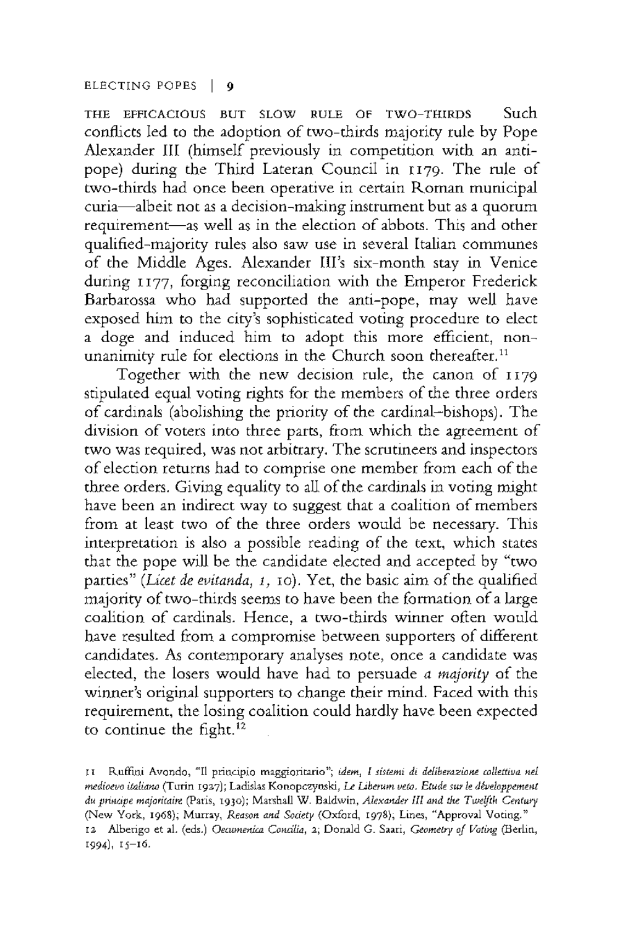THE EFFICACIOUS BUT SLOW RULE OF TWO-THIRDS Such conflicts led to the adoption of two-thirds majority rule by Pope Alexander III (himself previously in competition with an antipope) during the Third Lateran Council in 1179. The rule of two-thirds had once been operative in certain Roman municipal curia—albeit not as a decision-making instrument but as a quorum requirement-as well as in the election of abbots. This and other qualified-majority rules also saw use in several Italian communes of the Middle Ages. Alexander III's six-month stay in Venice during 1177, forging reconciliation with the Emperor Frederick Barbarossa who had supported the anti-pope, may well have exposed him to the city's sophisticated voting procedure to elect a doge and induced him to adopt this more efficient, nonunanimity rule for elections in the Church soon thereafter.<sup>11</sup>

Together with the new decision rule, the canon of 1179 stipulated equal voting rights for the members of the three orders of cardinals (abolishing the priority of the cardinal-bishops). The division of voters into three parts, from which the agreement of two was required, was not arbitrary. The scrutineers and inspectors of election returns had to comprise one member from each of the three orders. Giving equality to all of the cardinals in voting might have been an indirect way to suggest that a coalition of members from at least two of the three orders would be necessary. This interpretation is also a possible reading of the text, which states that the pope will be the candidate elected and accepted by "two parties" (Licet de evitanda, 1, 10). Yet, the basic aim of the qualified majority of two-thirds seems to have been the formation of a large coalition of cardinals. Hence, a two-thirds winner often would have resulted from a compromise between supporters of different candidates. As contemporary analyses note, once a candidate was elected, the losers would have had to persuade a majority of the winner's original supporters to change their mind. Faced with this requirement, the losing coalition could hardly have been expected to continue the fight.<sup>12</sup>

Ruffini Avondo, "Il principio maggioritario"; idem, I sistemi di deliberazione collettiva nel medioevo italiano (Tutin 1927); Ladislas Konopczynski, Le Liberum veto. Etude sur le développement du principe majoritaire (Paris, 1930); Marshall W. Baldwin, Alexander III and the Twelfth Century (New York, 1968); Murray, Reason and Society (Oxford, 1978); Lines, "Approval Voting." 12 Alberigo et al. (eds.) Oecumenica Concilia, 2; Donald G. Saari, Geometry of Votino (Berlin, 1994), 15-16.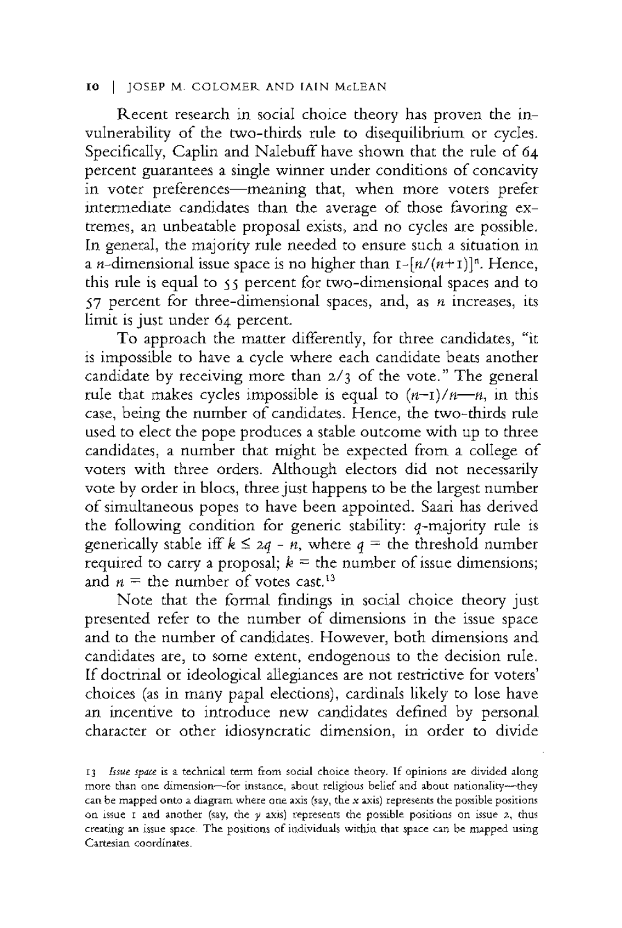Recent research in social choice theory has proven the invulnerability of the two-thirds rule to disequilibrium or cycles. Specifically, Caplin and Nalebuff have shown that the rule of 64 percent guarantees a single winner under conditions of concavity in voter preferences—meaning that, when more voters prefer intermediate candidates than the average of those favoring extremes, an unbeatable proposal exists, and no cycles are possible. In general, the majority rule needed to ensure such a situation in a *n*-dimensional issue space is no higher than  $r-[n/(n+1)]^n$ . Hence, this rule is equal to  $55$  percent for two-dimensional spaces and to 57 percent for three-dimensional spaces, and, as  $n$  increases, its limit is just under 64 percent.

To approach the matter differently, for three candidates, "it is impossible to have a cycle where each candidate beats another candidate by receiving more than 2/3 of the vote." The general rule that makes cycles impossible is equal to  $(n-1)/n - n$ , in this case, being the number of candidates. Hence, the two-thirds rule used to elect the pope produces a stable outcome with up to three candidates, a number that might be expected from a college of voters with three orders. Although electors did not necessarily vote by order in blocs, three just happens to be the largest number of simultaneous popes to have been appointed. Saari has derived the following condition for generic stability: q-majority rule is generically stable iff  $k \leq 2q - n$ , where  $q =$  the threshold number required to carry a proposal;  $k =$  the number of issue dimensions; and  $n =$  the number of votes cast.<sup>13</sup>

Note that the formal findings in social choice theory just presented refer to the number of dimensions in the issue space and to the number of candidates. However, both dimensions and candidates are, to some extent, endogenous to the decision rule. If doctrinal or ideological allegiances are not restrictive for voters' choices (as in many papal elections), cardinals likely to lose have an incentive to introduce new candidates defined by personal character or other idiosyncratic dimension, in order to divide

<sup>13</sup> Issue space is a technical term from social choice theory. If opinions are divided along more than one dimension-for instance, about religious belief and about nationality-they can be mapped onto a diagram where one axis (say, the  $x$  axis) represents the possible positions on issue I and another (say, the  $\gamma$  axis) represents the possible positions on issue 2, thus creating an issue space. The positions of individuals within that space can be mapped using Cartesian coordinates.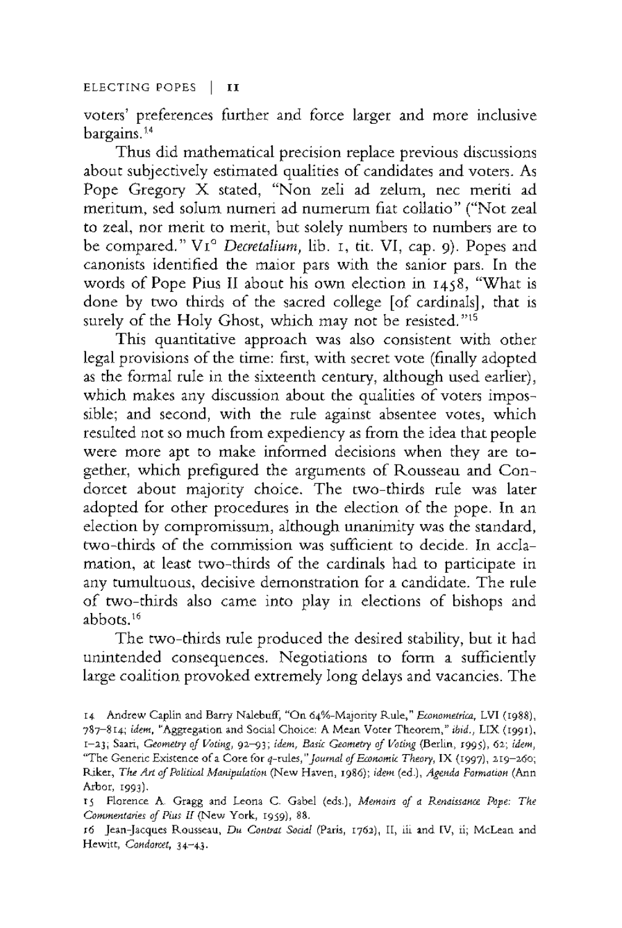voters' preferences further and force larger and more inclusive bargains.<sup>14</sup>

Thus did mathematical precision replace previous discussions about subjectively estimated qualities of candidates and voters. As Pope Gregory X stated, "Non zeli ad zelum, nec meriti ad meritum, sed solum numeri ad numerum fiat collatio" ("Not zeal to zeal, nor merit to merit, but solely numbers to numbers are to be compared." VI<sup>o</sup> Decretalium, lib. 1, tit. VI, cap. 9). Popes and canonists identified the maior pars with the sanior pars. In the words of Pope Pius II about his own election in 1458, "What is done by two thirds of the sacred college [of cardinals], that is surely of the Holy Ghost, which may not be resisted."<sup>15</sup>

This quantitative approach was also consistent with other legal provisions of the time: first, with secret vote (finally adopted as the formal rule in the sixteenth century, although used earlier), which makes any discussion about the qualities of voters impossible; and second, with the rule against absentee votes, which resulted not so much from expediency as from the idea that people were more apt to make informed decisions when they are together, which prefigured the arguments of Rousseau and Condorcet about majority choice. The two-thirds rule was later adopted for other procedures in the election of the pope. In an election by compromissum, although unanimity was the standard, two-thirds of the commission was sufficient to decide. In acclamation, at least two-thirds of the cardinals had to participate in any tumultuous, decisive demonstration for a candidate. The rule of two-thirds also came into play in elections of bishops and  $abhots<sup>16</sup>$ 

The two-thirds rule produced the desired stability, but it had unintended consequences. Negotiations to form a sufficiently large coalition provoked extremely long delays and vacancies. The

<sup>14</sup> Andrew Caplin and Barry Nalebuff, "On 64%-Majority Rule," Econometrica, LVI (1988), 787-814; idem, "Aggregation and Social Choice: A Mean Voter Theorem," ibid., LIX (1991), 1-23; Saari, Geometry of Voting, 92-93; idem, Basic Geometry of Voting (Berlin, 1995), 62; idem, "The Generic Existence of a Core for q-rules," Journal of Economic Theory, IX (1997), 219-260; Riker, The Art of Political Manipulation (New Haven, 1986); idem (ed.), Agenda Formation (Ann. Arbor, 1993).

<sup>15</sup> Florence A. Gragg and Leona C. Gabel (eds.), Memoirs of a Renaissance Pope: The Commentaries of Pius II (New York, 1959), 88.

<sup>16</sup> Jean-Jacques Rousseau, Du Contrat Social (Paris, 1762), II, iii and IV, ii; McLean and Hewitt, Condorcet, 34-43.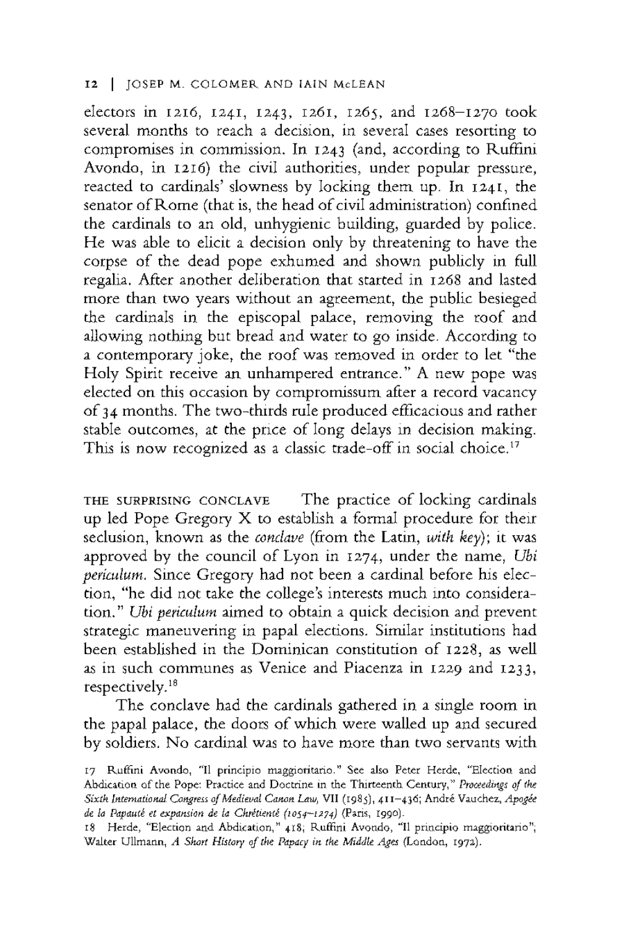electors in 1216, 1241, 1243, 1261, 1265, and 1268-1270 took several months to reach a decision, in several cases resorting to compromises in commission. In 1243 (and, according to Ruffini Avondo, in 1216) the civil authorities, under popular pressure, reacted to cardinals' slowness by locking them up. In 1241, the senator of Rome (that is, the head of civil administration) confined the cardinals to an old, unhygienic building, guarded by police. He was able to elicit a decision only by threatening to have the corpse of the dead pope exhumed and shown publicly in full regalia. After another deliberation that started in 1268 and lasted more than two years without an agreement, the public besieged the cardinals in the episcopal palace, removing the roof and allowing nothing but bread and water to go inside. According to a contemporary joke, the roof was removed in order to let "the Holy Spirit receive an unhampered entrance." A new pope was elected on this occasion by compromissum after a record vacancy of 34 months. The two-thirds rule produced efficacious and rather stable outcomes, at the price of long delays in decision making. This is now recognized as a classic trade-off in social choice.<sup>17</sup>

THE SURPRISING CONCLAVE The practice of locking cardinals up led Pope Gregory X to establish a formal procedure for their seclusion, known as the conclave (from the Latin, with key); it was approved by the council of Lyon in 1274, under the name, Ubi periculum. Since Gregory had not been a cardinal before his election, "he did not take the college's interests much into consideration." Ubi periculum aimed to obtain a quick decision and prevent strategic maneuvering in papal elections. Similar institutions had been established in the Dominican constitution of 1228, as well as in such communes as Venice and Piacenza in 1229 and 1233, respectively.<sup>18</sup>

The conclave had the cardinals gathered in a single room in the papal palace, the doors of which were walled up and secured by soldiers. No cardinal was to have more than two servants with

<sup>17</sup> Ruffini Avondo, "Il principio maggioritario." See also Peter Herde, "Election and Abdication of the Pope: Practice and Doctrine in the Thirteenth Century," Proceedings of the Sixth International Congress of Medieval Canon Law, VII (1985), 411-436; André Vauchez, Apogée de la Papauté et expansion de la Chrétienté (1054-1274) (Paris, 1990).

<sup>18</sup> Herde, "Election and Abdication," 418; Ruffini Avondo, "Il principio maggioritario"; Walter Ullmann, A Short History of the Papacy in the Middle Ages (London, 1972).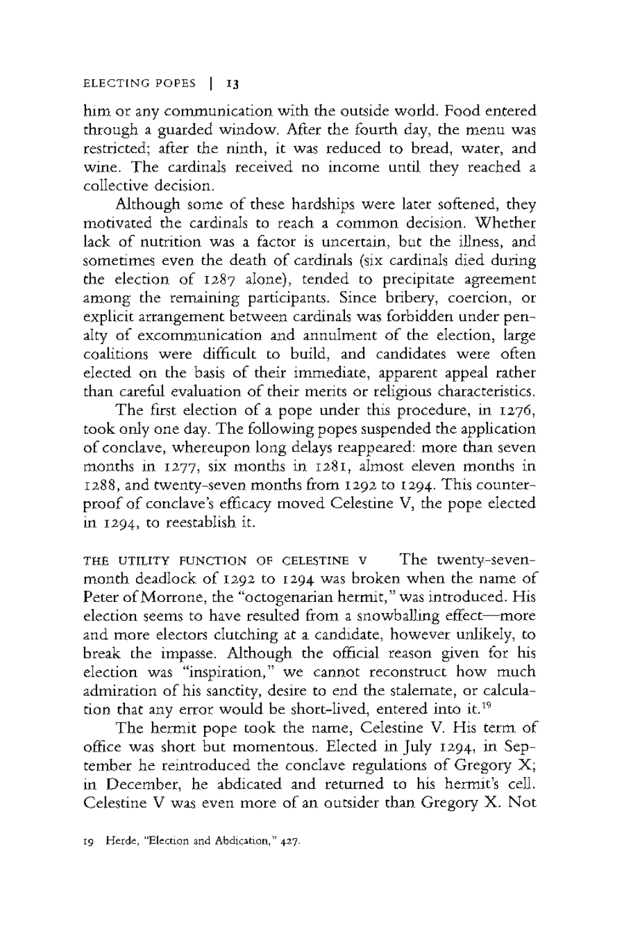him or any communication with the outside world. Food entered through a guarded window. After the fourth day, the menu was restricted; after the ninth, it was reduced to bread, water, and wine. The cardinals received no income until they reached a collective decision.

Although some of these hardships were later softened, they motivated the cardinals to reach a common decision. Whether lack of nutrition was a factor is uncertain, but the illness, and sometimes even the death of cardinals (six cardinals died during the election of 1287 alone), tended to precipitate agreement among the remaining participants. Since bribery, coercion, or explicit arrangement between cardinals was forbidden under penalty of excommunication and annulment of the election, large coalitions were difficult to build, and candidates were often elected on the basis of their immediate, apparent appeal rather than careful evaluation of their merits or religious characteristics.

The first election of a pope under this procedure, in 1276, took only one day. The following popes suspended the application of conclave, whereupon long delays reappeared: more than seven months in 1277, six months in 1281, almost eleven months in 1288, and twenty-seven months from 1292 to 1294. This counterproof of conclave's efficacy moved Celestine V, the pope elected in 1294, to reestablish it.

THE UTILITY FUNCTION OF CELESTINE V The twenty-sevenmonth deadlock of 1292 to 1294 was broken when the name of Peter of Morrone, the "octogenarian hermit," was introduced. His election seems to have resulted from a snowballing effect-more and more electors clutching at a candidate, however unlikely, to break the impasse. Although the official reason given for his election was "inspiration," we cannot reconstruct how much admiration of his sanctity, desire to end the stalemate, or calculation that any error would be short-lived, entered into it.<sup>19</sup>

The hermit pope took the name, Celestine V. His term of office was short but momentous. Elected in July 1294, in September he reintroduced the conclave regulations of Gregory X; in December, he abdicated and returned to his hermit's cell. Celestine V was even more of an outsider than Gregory X. Not

<sup>19</sup> Herde, "Election and Abdication," 427.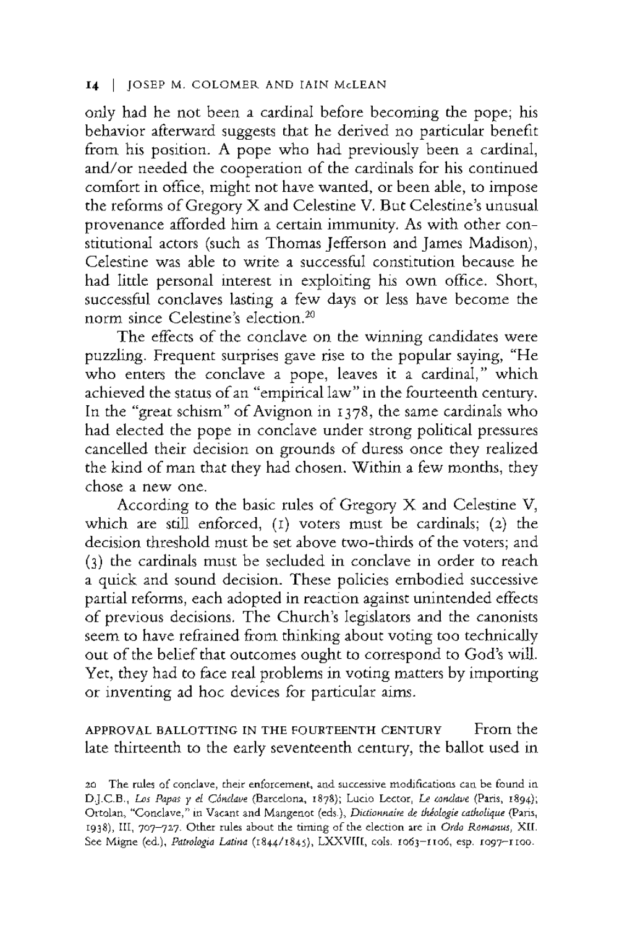only had he not been a cardinal before becoming the pope; his behavior afterward suggests that he derived no particular benefit from his position. A pope who had previously been a cardinal, and/or needed the cooperation of the cardinals for his continued comfort in office, might not have wanted, or been able, to impose the reforms of Gregory X and Celestine V. But Celestine's unusual provenance afforded him a certain immunity. As with other constitutional actors (such as Thomas Jefferson and James Madison), Celestine was able to write a successful constitution because he had little personal interest in exploiting his own office. Short, successful conclaves lasting a few days or less have become the norm since Celestine's election.<sup>20</sup>

The effects of the conclave on the winning candidates were puzzling. Frequent surprises gave rise to the popular saying, "He who enters the conclave a pope, leaves it a cardinal," which achieved the status of an "empirical law" in the fourteenth century. In the "great schism" of Avignon in 1378, the same cardinals who had elected the pope in conclave under strong political pressures cancelled their decision on grounds of duress once they realized the kind of man that they had chosen. Within a few months, they chose a new one.

According to the basic rules of Gregory X and Celestine V, which are still enforced, (1) voters must be cardinals; (2) the decision threshold must be set above two-thirds of the voters; and (3) the cardinals must be secluded in conclave in order to reach a quick and sound decision. These policies embodied successive partial reforms, each adopted in reaction against unintended effects of previous decisions. The Church's legislators and the canonists seem to have refrained from thinking about voting too technically out of the belief that outcomes ought to correspond to God's will. Yet, they had to face real problems in voting matters by importing or inventing ad hoc devices for particular aims.

From the APPROVAL BALLOTTING IN THE FOURTEENTH CENTURY late thirteenth to the early seventeenth century, the ballot used in

<sup>20</sup> The rules of conclave, their enforcement, and successive modifications can be found in D.J.C.B., Los Papas y el Cónclave (Barcelona, 1878); Lucio Lector, Le conclave (Paris, 1894); Ortolan, "Conclave," in Vacant and Mangenot (eds.), Dictionnaire de théologie catholique (Paris, 1938), III, 707-727. Other rules about the timing of the election are in Ordo Romanus, XII. See Migne (ed.), Patrologia Latina (1844/1845), LXXVIII, cols. 1063-1106, esp. 1097-1100.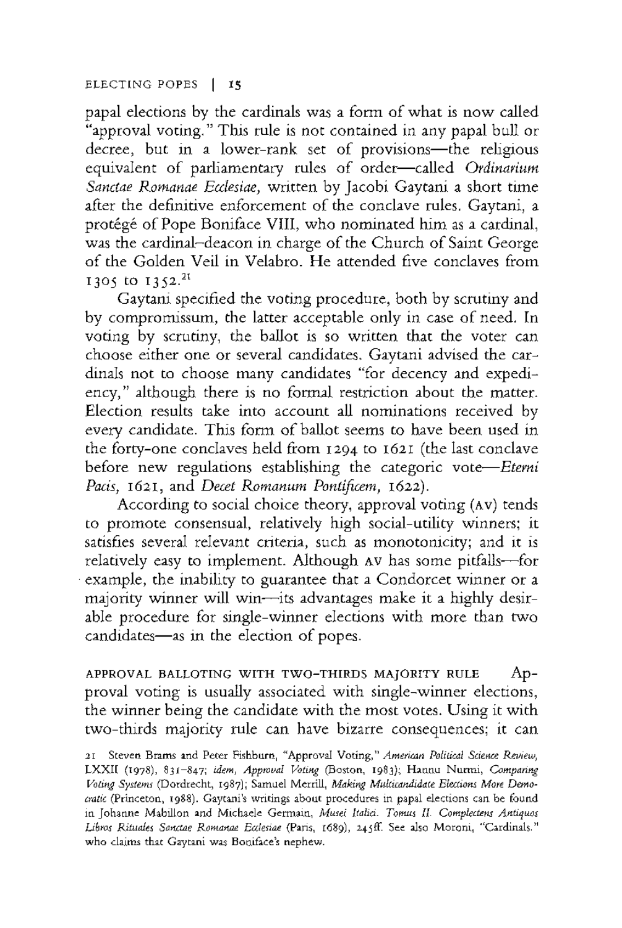papal elections by the cardinals was a form of what is now called "approval voting." This rule is not contained in any papal bull or decree, but in a lower-rank set of provisions—the religious equivalent of parliamentary rules of order-called Ordinarium Sanctae Romanae Ecclesiae, written by Jacobi Gaytani a short time after the definitive enforcement of the conclave rules. Gaytani, a protégé of Pope Boniface VIII, who nominated him as a cardinal, was the cardinal-deacon in charge of the Church of Saint George of the Golden Veil in Velabro. He attended five conclaves from 1305 to  $1352.<sup>21</sup>$ 

Gaytani specified the voting procedure, both by scrutiny and by compromissum, the latter acceptable only in case of need. In voting by scrutiny, the ballot is so written that the voter can choose either one or several candidates. Gaytani advised the cardinals not to choose many candidates "for decency and expediency," although there is no formal restriction about the matter. Election results take into account all nominations received by every candidate. This form of ballot seems to have been used in the forty-one conclaves held from 1294 to 1621 (the last conclave before new regulations establishing the categoric vote-Eterni Pacis, 1621, and Decet Romanum Pontificem, 1622).

According to social choice theory, approval voting (AV) tends to promote consensual, relatively high social-utility winners; it satisfies several relevant criteria, such as monotonicity; and it is relatively easy to implement. Although AV has some pitfalls-for example, the inability to guarantee that a Condorcet winner or a majority winner will win--its advantages make it a highly desirable procedure for single-winner elections with more than two candidates-as in the election of popes.

APPROVAL BALLOTING WITH TWO-THIRDS MAJORITY RULE Approval voting is usually associated with single-winner elections, the winner being the candidate with the most votes. Using it with two-thirds majority rule can have bizarre consequences; it can

<sup>21</sup> Steven Brams and Peter Fishburn, "Approval Voting," American Political Science Review, LXXII (1978), 831-847; idem, Approval Voting (Boston, 1983); Hannu Nurmi, Comparing Voting Systems (Dordrecht, 1987); Samuel Merrill, Making Multicandidate Elections More Democratic (Princeton, 1988). Gaytani's writings about procedures in papal elections can be found in Johanne Mabillon and Michaele Germain, Musei Italici. Tomus II. Complectens Antiquos Libros Rituales Sanctae Romanae Ecclesiae (Paris, 1689), 245ff. See also Moroni, "Cardinals." who claims that Gaytani was Boniface's nephew.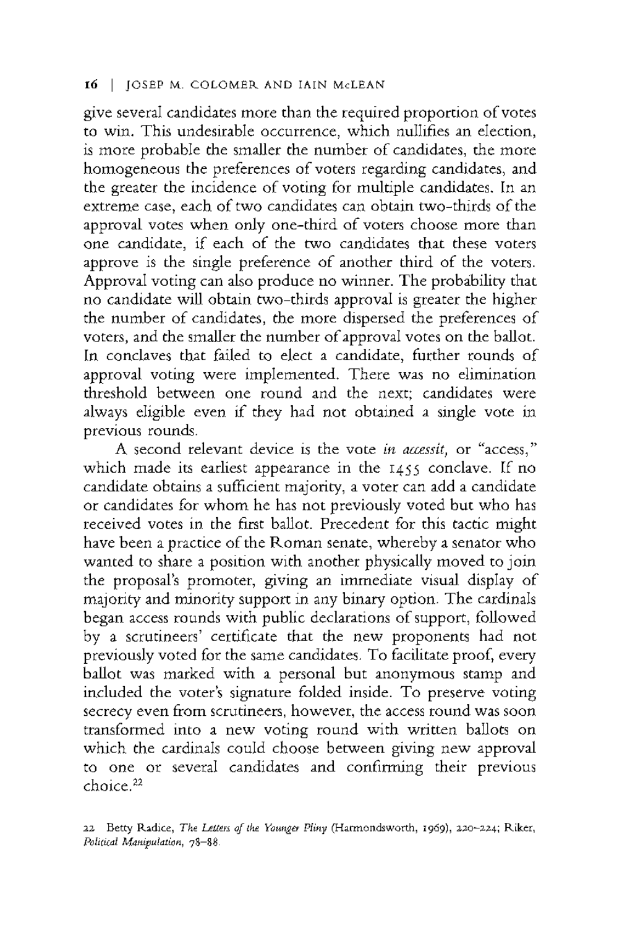give several candidates more than the required proportion of votes to win. This undesirable occurrence, which nullifies an election. is more probable the smaller the number of candidates, the more homogeneous the preferences of voters regarding candidates, and the greater the incidence of voting for multiple candidates. In an extreme case, each of two candidates can obtain two-thirds of the approval votes when only one-third of voters choose more than one candidate, if each of the two candidates that these voters approve is the single preference of another third of the voters. Approval voting can also produce no winner. The probability that no candidate will obtain two-thirds approval is greater the higher the number of candidates, the more dispersed the preferences of voters, and the smaller the number of approval votes on the ballot. In conclaves that failed to elect a candidate, further rounds of approval voting were implemented. There was no elimination threshold between one round and the next; candidates were always eligible even if they had not obtained a single vote in previous rounds.

A second relevant device is the vote in accessit, or "access," which made its earliest appearance in the 1455 conclave. If no candidate obtains a sufficient majority, a voter can add a candidate or candidates for whom he has not previously voted but who has received votes in the first ballot. Precedent for this tactic might have been a practice of the Roman senate, whereby a senator who wanted to share a position with another physically moved to join the proposal's promoter, giving an immediate visual display of majority and minority support in any binary option. The cardinals began access rounds with public declarations of support, followed by a scrutineers' certificate that the new proponents had not previously voted for the same candidates. To facilitate proof, every ballot was marked with a personal but anonymous stamp and included the voter's signature folded inside. To preserve voting secrecy even from scrutineers, however, the access round was soon transformed into a new voting round with written ballots on which the cardinals could choose between giving new approval to one or several candidates and confirming their previous choice.<sup>22</sup>

<sup>22</sup> Betty Radice, The Letters of the Younger Pliny (Harmondsworth, 1969), 220-224; Riker, Political Manipulation, 78-88.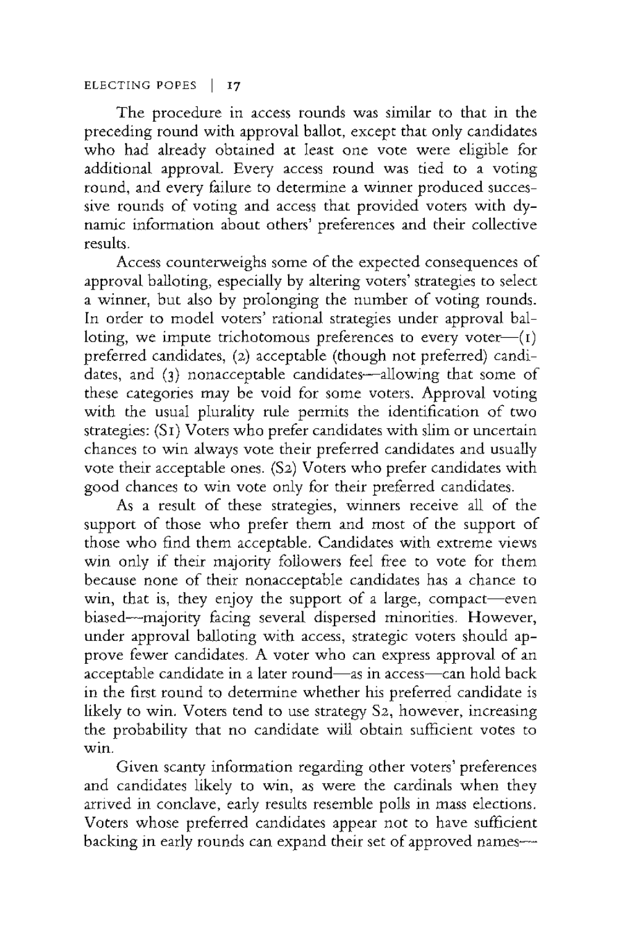## ELECTING POPES | 17

The procedure in access rounds was similar to that in the preceding round with approval ballot, except that only candidates who had already obtained at least one vote were eligible for additional approval. Every access round was tied to a voting round, and every failure to determine a winner produced successive rounds of voting and access that provided voters with dynamic information about others' preferences and their collective results.

Access counterweighs some of the expected consequences of approval balloting, especially by altering voters' strategies to select a winner, but also by prolonging the number of voting rounds. In order to model voters' rational strategies under approval balloting, we impute trichotomous preferences to every voter-(I) preferred candidates, (2) acceptable (though not preferred) candidates, and (3) nonacceptable candidates—allowing that some of these categories may be void for some voters. Approval voting with the usual plurality rule permits the identification of two strategies: (S1) Voters who prefer candidates with slim or uncertain chances to win always vote their preferred candidates and usually vote their acceptable ones. (S2) Voters who prefer candidates with good chances to win vote only for their preferred candidates.

As a result of these strategies, winners receive all of the support of those who prefer them and most of the support of those who find them acceptable. Candidates with extreme views win only if their majority followers feel free to vote for them because none of their nonacceptable candidates has a chance to win, that is, they enjoy the support of a large, compact-even biased-majority facing several dispersed minorities. However, under approval balloting with access, strategic voters should approve fewer candidates. A voter who can express approval of an acceptable candidate in a later round-as in access-can hold back in the first round to determine whether his preferred candidate is likely to win. Voters tend to use strategy S2, however, increasing the probability that no candidate will obtain sufficient votes to win

Given scanty information regarding other voters' preferences and candidates likely to win, as were the cardinals when they arrived in conclave, early results resemble polls in mass elections. Voters whose preferred candidates appear not to have sufficient backing in early rounds can expand their set of approved names—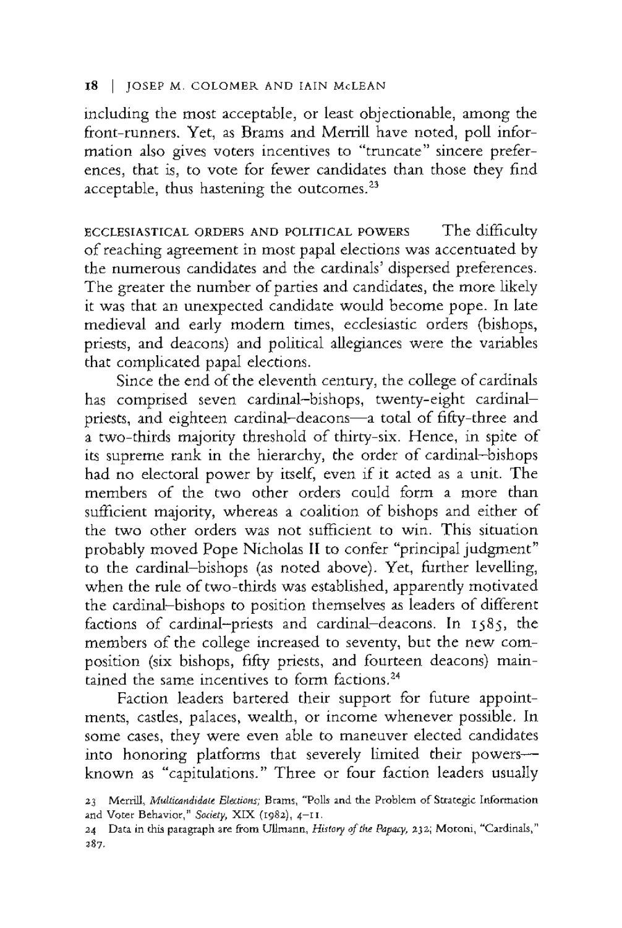including the most acceptable, or least objectionable, among the front-runners. Yet, as Brams and Merrill have noted, poll information also gives voters incentives to "truncate" sincere preferences, that is, to vote for fewer candidates than those they find acceptable, thus hastening the outcomes.<sup>23</sup>

ECCLESIASTICAL ORDERS AND POLITICAL POWERS The difficulty of reaching agreement in most papal elections was accentuated by the numerous candidates and the cardinals' dispersed preferences. The greater the number of parties and candidates, the more likely it was that an unexpected candidate would become pope. In late medieval and early modern times, ecclesiastic orders (bishops, priests, and deacons) and political allegiances were the variables that complicated papal elections.

Since the end of the eleventh century, the college of cardinals has comprised seven cardinal-bishops, twenty-eight cardinalpriests, and eighteen cardinal-deacons-a total of fifty-three and a two-thirds majority threshold of thirty-six. Hence, in spite of its supreme rank in the hierarchy, the order of cardinal-bishops had no electoral power by itself, even if it acted as a unit. The members of the two other orders could form a more than sufficient majority, whereas a coalition of bishops and either of the two other orders was not sufficient to win. This situation probably moved Pope Nicholas II to confer "principal judgment" to the cardinal-bishops (as noted above). Yet, further levelling, when the rule of two-thirds was established, apparently motivated the cardinal-bishops to position themselves as leaders of different factions of cardinal-priests and cardinal-deacons. In 1585, the members of the college increased to seventy, but the new composition (six bishops, fifty priests, and fourteen deacons) maintained the same incentives to form factions.<sup>24</sup>

Faction leaders bartered their support for future appointments, castles, palaces, wealth, or income whenever possible. In some cases, they were even able to maneuver elected candidates into honoring platforms that severely limited their powersknown as "capitulations." Three or four faction leaders usually

<sup>23</sup> Merrill, Multicandidate Elections; Brams, "Polls and the Problem of Strategic Information and Voter Behavior," Society, XIX (1982), 4-11.

<sup>24</sup> Data in this paragraph are from Ullmann, History of the Papacy, 232; Moroni, "Cardinals," 287.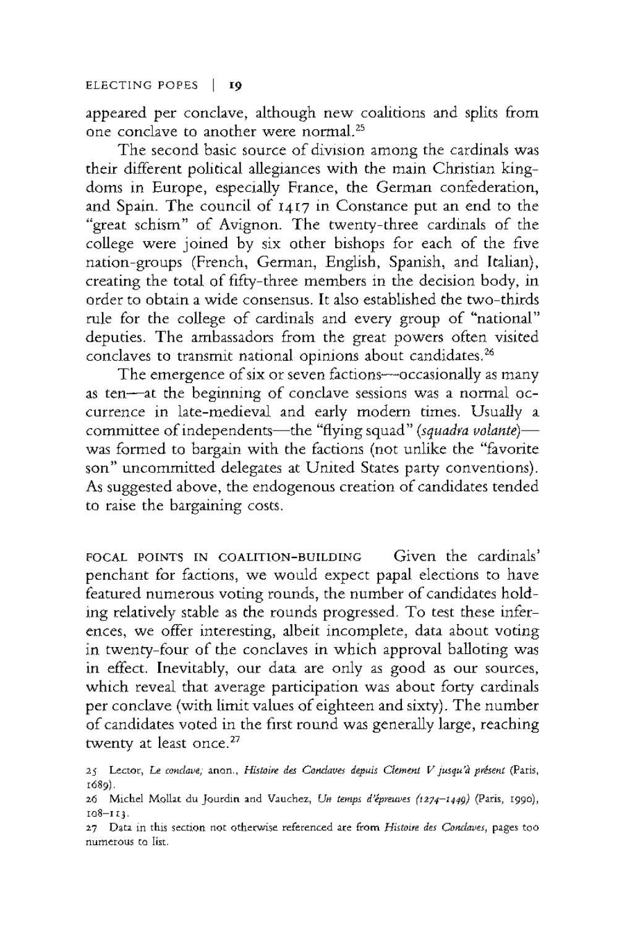appeared per conclave, although new coalitions and splits from one conclave to another were normal.<sup>25</sup>

The second basic source of division among the cardinals was their different political allegiances with the main Christian kingdoms in Europe, especially France, the German confederation. and Spain. The council of 1417 in Constance put an end to the "great schism" of Avignon. The twenty-three cardinals of the college were joined by six other bishops for each of the five nation-groups (French, German, English, Spanish, and Italian), creating the total of fifty-three members in the decision body, in order to obtain a wide consensus. It also established the two-thirds rule for the college of cardinals and every group of "national" deputies. The ambassadors from the great powers often visited conclaves to transmit national opinions about candidates.<sup>26</sup>

The emergence of six or seven factions—occasionally as many as ten-at the beginning of conclave sessions was a normal occurrence in late-medieval and early modern times. Usually a committee of independents—the "flying squad" (squadra volante) was formed to bargain with the factions (not unlike the "favorite son" uncommitted delegates at United States party conventions). As suggested above, the endogenous creation of candidates tended to raise the bargaining costs.

Given the cardinals' FOCAL POINTS IN COALITION-BUILDING penchant for factions, we would expect papal elections to have featured numerous voting rounds, the number of candidates holding relatively stable as the rounds progressed. To test these inferences, we offer interesting, albeit incomplete, data about voting in twenty-four of the conclaves in which approval balloting was in effect. Inevitably, our data are only as good as our sources, which reveal that average participation was about forty cardinals per conclave (with limit values of eighteen and sixty). The number of candidates voted in the first round was generally large, reaching twenty at least once.<sup>27</sup>

<sup>25</sup> Lector, Le conclave; anon., Histoire des Conclaves depuis Clement V jusqu'à présent (Patis, 1689).

<sup>26</sup> Michel Mollat du Jourdin and Vauchez, Un temps d'épreuves (1274-1449) (Paris, 1990),  $108 - 113$ .

<sup>27</sup> Data in this section not otherwise referenced are from Histoire des Conclaves, pages too numerous to list.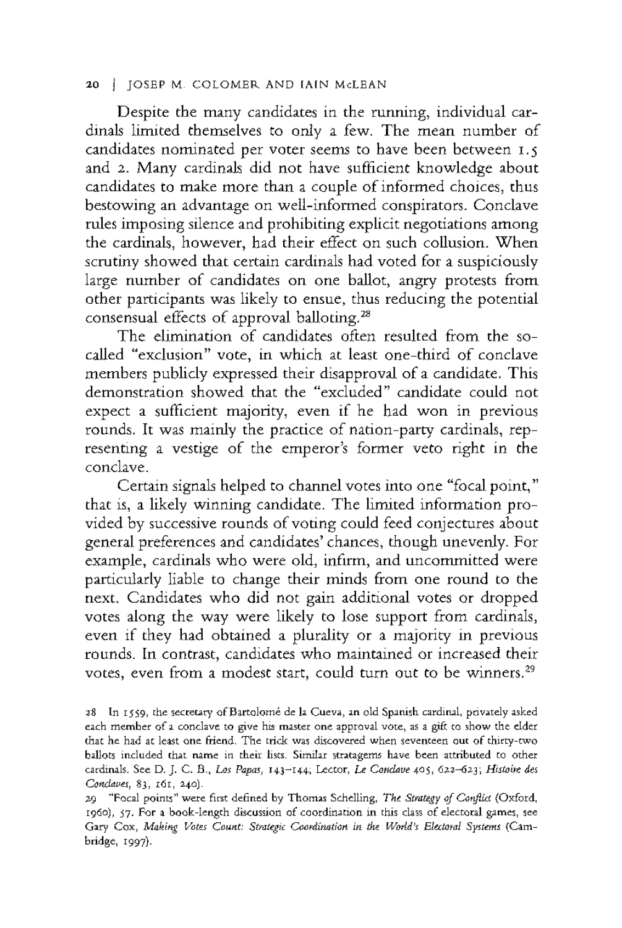Despite the many candidates in the running, individual cardinals limited themselves to only a few. The mean number of candidates nominated per voter seems to have been between 1.5 and 2. Many cardinals did not have sufficient knowledge about candidates to make more than a couple of informed choices, thus bestowing an advantage on well-informed conspirators. Conclave rules imposing silence and prohibiting explicit negotiations among the cardinals, however, had their effect on such collusion. When scrutiny showed that certain cardinals had voted for a suspiciously large number of candidates on one ballot, angry protests from other participants was likely to ensue, thus reducing the potential consensual effects of approval balloting.<sup>28</sup>

The elimination of candidates often resulted from the socalled "exclusion" vote, in which at least one-third of conclave members publicly expressed their disapproval of a candidate. This demonstration showed that the "excluded" candidate could not expect a sufficient majority, even if he had won in previous rounds. It was mainly the practice of nation-party cardinals, representing a vestige of the emperor's former veto right in the conclave.

Certain signals helped to channel votes into one "focal point," that is, a likely winning candidate. The limited information provided by successive rounds of voting could feed conjectures about general preferences and candidates' chances, though unevenly. For example, cardinals who were old, infirm, and uncommitted were particularly liable to change their minds from one round to the next. Candidates who did not gain additional votes or dropped votes along the way were likely to lose support from cardinals, even if they had obtained a plurality or a majority in previous rounds. In contrast, candidates who maintained or increased their votes, even from a modest start, could turn out to be winners.<sup>29</sup>

<sup>28</sup> In 1559, the secretary of Bartolomé de la Cueva, an old Spanish cardinal, privately asked each member of a conclave to give his master one approval vote, as a gift to show the elder that he had at least one friend. The trick was discovered when seventeen out of thirty-two ballots included that name in their lists. Similar stratagems have been attributed to other cardinals. See D. J. C. B., Las Papas, 143-144; Lector, Le Candave 405, 622-623; Histoire des Conclaves, 83, 161, 240).

<sup>29 &</sup>quot;Focal points" were first defined by Thomas Schelling, The Strategy of Conflict (Oxford, 1960), 57. For a book-length discussion of coordination in this class of electoral games, see Gary Cox, Making Votes Count: Strategic Coordination in the World's Electoral Systems (Cambridge, 1997).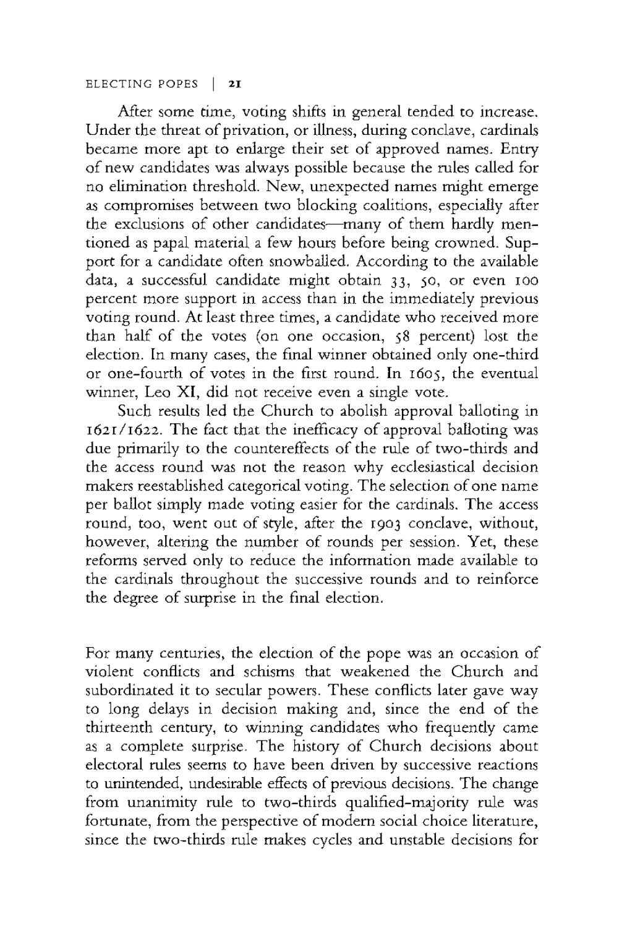### ELECTING POPES | 21

After some time, voting shifts in general tended to increase. Under the threat of privation, or illness, during conclave, cardinals became more apt to enlarge their set of approved names. Entry of new candidates was always possible because the rules called for no elimination threshold. New, unexpected names might emerge as compromises between two blocking coalitions, especially after the exclusions of other candidates-many of them hardly mentioned as papal material a few hours before being crowned. Support for a candidate often snowballed. According to the available data, a successful candidate might obtain 33, 50, or even 100 percent more support in access than in the immediately previous voting round. At least three times, a candidate who received more than half of the votes (on one occasion, 58 percent) lost the election. In many cases, the final winner obtained only one-third or one-fourth of votes in the first round. In 1605, the eventual winner, Leo XI, did not receive even a single vote.

Such results led the Church to abolish approval balloting in 1621/1622. The fact that the inefficacy of approval balloting was due primarily to the countereffects of the rule of two-thirds and the access round was not the reason why ecclesiastical decision makers reestablished categorical voting. The selection of one name per ballot simply made voting easier for the cardinals. The access round, too, went out of style, after the 1903 conclave, without, however, altering the number of rounds per session. Yet, these reforms served only to reduce the information made available to the cardinals throughout the successive rounds and to reinforce the degree of surprise in the final election.

For many centuries, the election of the pope was an occasion of violent conflicts and schisms that weakened the Church and subordinated it to secular powers. These conflicts later gave way to long delays in decision making and, since the end of the thirteenth century, to winning candidates who frequently came as a complete surprise. The history of Church decisions about electoral rules seems to have been driven by successive reactions to unintended, undesirable effects of previous decisions. The change from unanimity rule to two-thirds qualified-majority rule was fortunate, from the perspective of modern social choice literature, since the two-thirds rule makes cycles and unstable decisions for